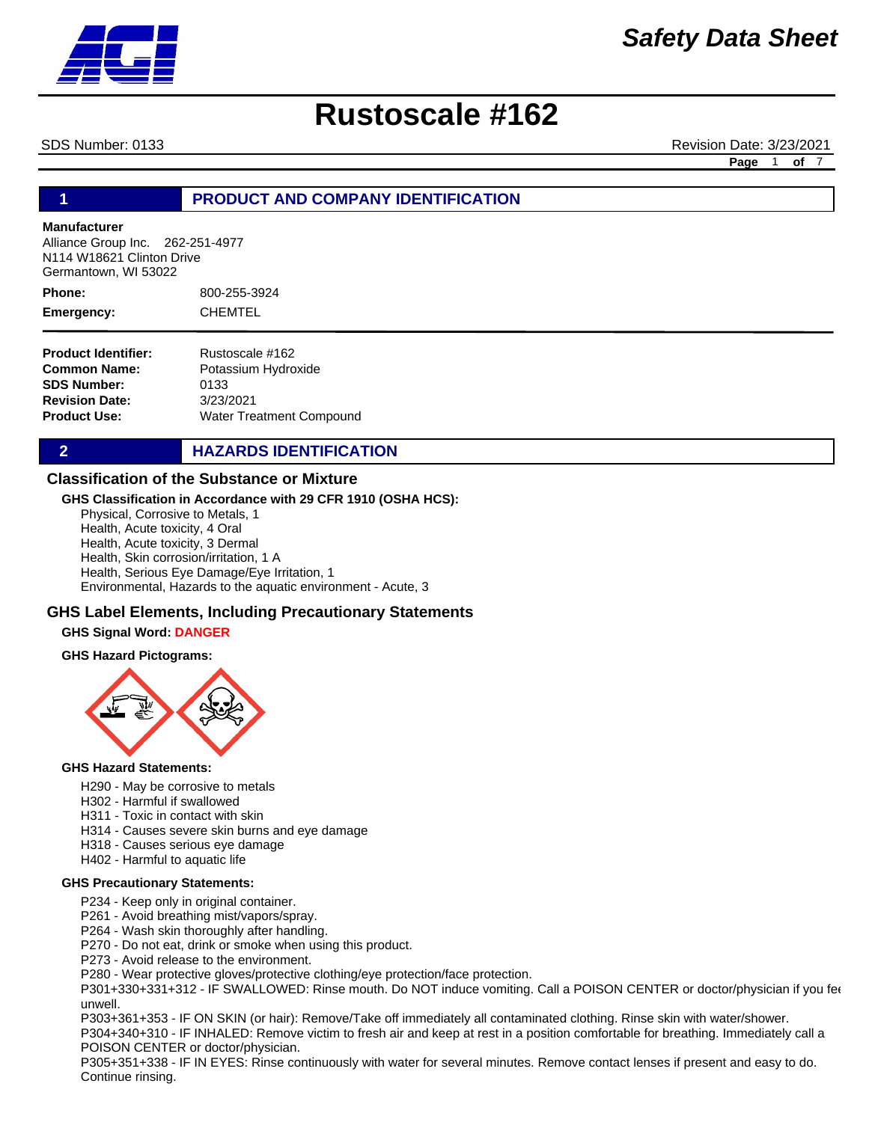

SDS Number: 0133 Revision Date: 3/23/2021

**Page** 1 **of** 7

# **1 PRODUCT AND COMPANY IDENTIFICATION**

### **Manufacturer**

Alliance Group Inc. 262-251-4977 N114 W18621 Clinton Drive Germantown, WI 53022

800-255-3924 CHEMTEL **Phone: Emergency:**

**Product Identifier: Common Name: SDS Number: Revision Date: Product Use:** Rustoscale #162 Potassium Hydroxide 0133 3/23/2021 Water Treatment Compound

**2 HAZARDS IDENTIFICATION** 

## **Classification of the Substance or Mixture**

## **GHS Classification in Accordance with 29 CFR 1910 (OSHA HCS):**

Physical, Corrosive to Metals, 1 Health, Acute toxicity, 4 Oral Health, Acute toxicity, 3 Dermal Health, Skin corrosion/irritation, 1 A Health, Serious Eye Damage/Eye Irritation, 1 Environmental, Hazards to the aquatic environment - Acute, 3

## **GHS Label Elements, Including Precautionary Statements**

### **GHS Signal Word: DANGER**

#### **GHS Hazard Pictograms:**



#### **GHS Hazard Statements:**

H290 - May be corrosive to metals

- H302 Harmful if swallowed
- H311 Toxic in contact with skin
- H314 Causes severe skin burns and eye damage
- H318 Causes serious eye damage
- H402 Harmful to aquatic life

#### **GHS Precautionary Statements:**

- P234 Keep only in original container.
- P261 Avoid breathing mist/vapors/spray.
- P264 Wash skin thoroughly after handling.
- P270 Do not eat, drink or smoke when using this product.
- P273 Avoid release to the environment.
- P280 Wear protective gloves/protective clothing/eye protection/face protection.

P301+330+331+312 - IF SWALLOWED: Rinse mouth. Do NOT induce vomiting. Call a POISON CENTER or doctor/physician if you fee unwell.

P303+361+353 - IF ON SKIN (or hair): Remove/Take off immediately all contaminated clothing. Rinse skin with water/shower.

P304+340+310 - IF INHALED: Remove victim to fresh air and keep at rest in a position comfortable for breathing. Immediately call a POISON CENTER or doctor/physician.

P305+351+338 - IF IN EYES: Rinse continuously with water for several minutes. Remove contact lenses if present and easy to do. Continue rinsing.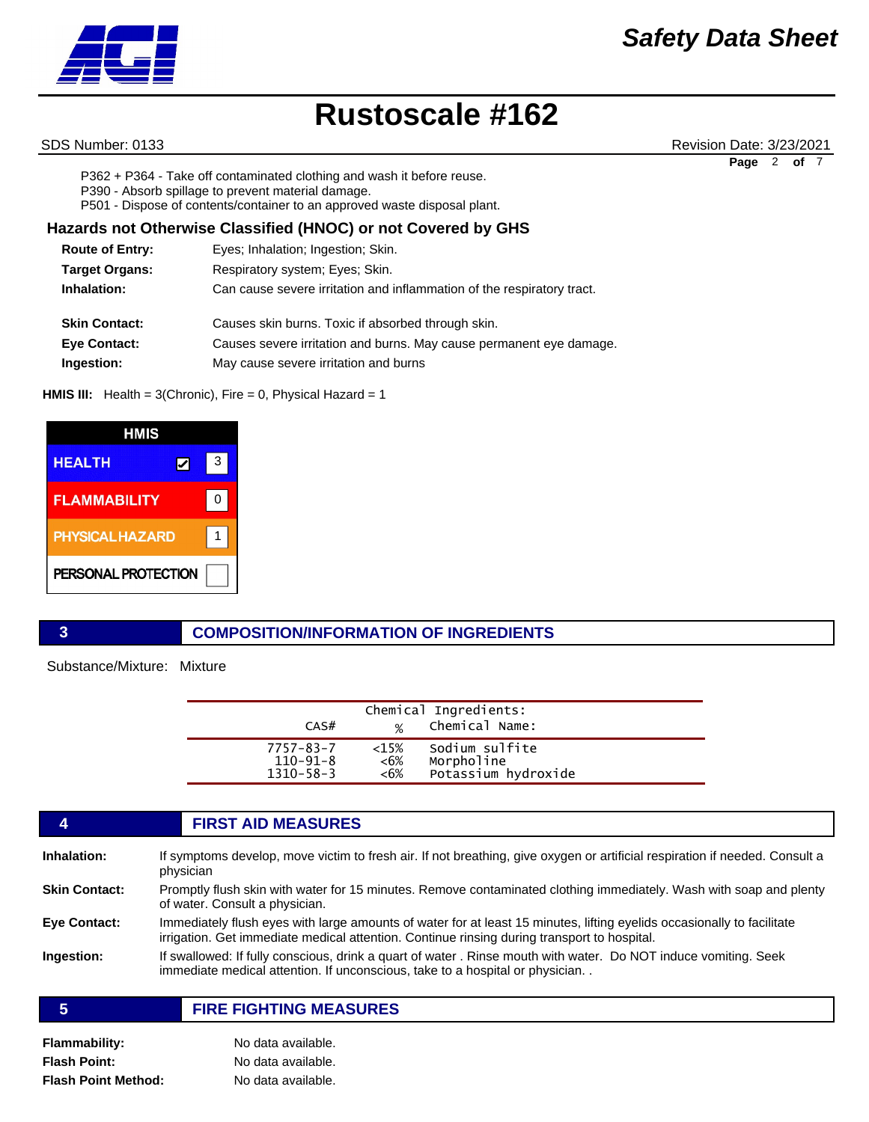SDS Number: 0133 Revision Date: 3/23/2021 **Page** 2 **of** 7

P362 + P364 - Take off contaminated clothing and wash it before reuse.

P390 - Absorb spillage to prevent material damage.

P501 - Dispose of contents/container to an approved waste disposal plant.

# **Hazards not Otherwise Classified (HNOC) or not Covered by GHS**

| <b>Route of Entry:</b> | Eyes; Inhalation; Ingestion; Skin.                                     |
|------------------------|------------------------------------------------------------------------|
| <b>Target Organs:</b>  | Respiratory system; Eyes; Skin.                                        |
| Inhalation:            | Can cause severe irritation and inflammation of the respiratory tract. |
| <b>Skin Contact:</b>   | Causes skin burns. Toxic if absorbed through skin.                     |
| <b>Eye Contact:</b>    | Causes severe irritation and burns. May cause permanent eye damage.    |
| Ingestion:             | May cause severe irritation and burns                                  |

### **HMIS III:** Health = 3(Chronic), Fire = 0, Physical Hazard = 1



# **3 COMPOSITION/INFORMATION OF INGREDIENTS**

Substance/Mixture: Mixture

| CAS#            | $\frac{1}{2}$ | Chemical Ingredients:<br>Chemical Name: |  |
|-----------------|---------------|-----------------------------------------|--|
| $7757 - 83 - 7$ | $<15\%$       | Sodium sulfite                          |  |
| $110 - 91 - 8$  | <6%           | Morpholine                              |  |
| $1310 - 58 - 3$ | <6%           | Potassium hydroxide                     |  |

# **4 FIRST AID MEASURES Inhalation:** If symptoms develop, move victim to fresh air. If not breathing, give oxygen or artificial respiration if needed. Consult a physician **Skin Contact:** Promptly flush skin with water for 15 minutes. Remove contaminated clothing immediately. Wash with soap and plenty of water. Consult a physician. **Eye Contact:** Immediately flush eyes with large amounts of water for at least 15 minutes, lifting eyelids occasionally to facilitate irrigation. Get immediate medical attention. Continue rinsing during transport to hospital. **Ingestion:** If swallowed: If fully conscious, drink a quart of water . Rinse mouth with water. Do NOT induce vomiting. Seek immediate medical attention. If unconscious, take to a hospital or physician. . **5 FIRE FIGHTING MEASURES**

**Flammability:** No data available. **Flash Point:** No data available.

**Flash Point Method:** No data available.

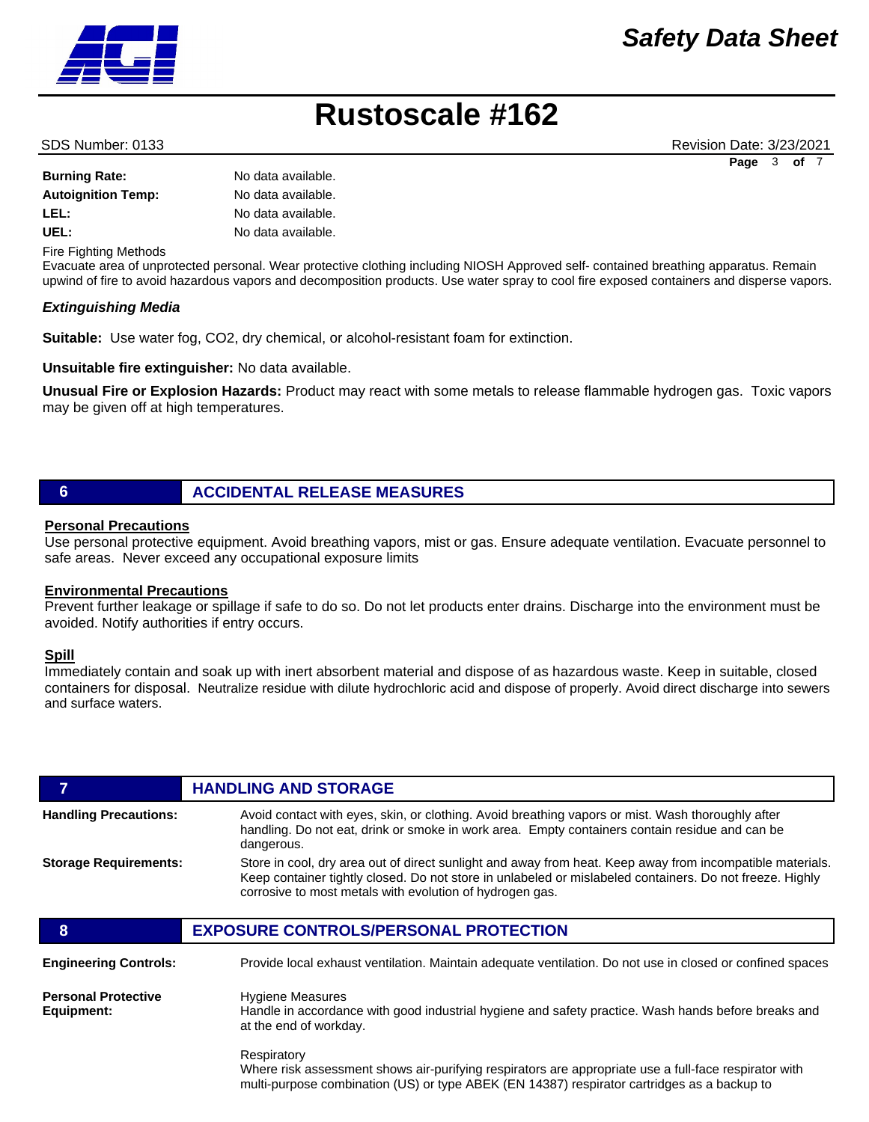# *Safety Data Sheet*

# **Rustoscale #162**

#### **Burning Rate:** No data available

| <b>PARTILIA</b> INGLYS    | $\sim$             |
|---------------------------|--------------------|
| <b>Autoignition Temp:</b> | No data available. |
| LEL:                      | No data available. |
| UEL:                      | No data available. |
|                           |                    |

Fire Fighting Methods

Evacuate area of unprotected personal. Wear protective clothing including NIOSH Approved self- contained breathing apparatus. Remain upwind of fire to avoid hazardous vapors and decomposition products. Use water spray to cool fire exposed containers and disperse vapors.

## *Extinguishing Media*

**Suitable:** Use water fog, CO2, dry chemical, or alcohol-resistant foam for extinction.

**Unsuitable fire extinguisher:** No data available.

**Unusual Fire or Explosion Hazards:** Product may react with some metals to release flammable hydrogen gas. Toxic vapors may be given off at high temperatures.

# **6 ACCIDENTAL RELEASE MEASURES**

### **Personal Precautions**

Use personal protective equipment. Avoid breathing vapors, mist or gas. Ensure adequate ventilation. Evacuate personnel to safe areas. Never exceed any occupational exposure limits

## **Environmental Precautions**

Prevent further leakage or spillage if safe to do so. Do not let products enter drains. Discharge into the environment must be avoided. Notify authorities if entry occurs.

## **Spill**

Immediately contain and soak up with inert absorbent material and dispose of as hazardous waste. Keep in suitable, closed containers for disposal. Neutralize residue with dilute hydrochloric acid and dispose of properly. Avoid direct discharge into sewers and surface waters.

|                                          | <b>HANDLING AND STORAGE</b>                                                                                                                                                                                                                                                       |  |
|------------------------------------------|-----------------------------------------------------------------------------------------------------------------------------------------------------------------------------------------------------------------------------------------------------------------------------------|--|
| <b>Handling Precautions:</b>             | Avoid contact with eyes, skin, or clothing. Avoid breathing vapors or mist. Wash thoroughly after<br>handling. Do not eat, drink or smoke in work area. Empty containers contain residue and can be<br>dangerous.                                                                 |  |
| <b>Storage Requirements:</b>             | Store in cool, dry area out of direct sunlight and away from heat. Keep away from incompatible materials.<br>Keep container tightly closed. Do not store in unlabeled or mislabeled containers. Do not freeze. Highly<br>corrosive to most metals with evolution of hydrogen gas. |  |
| 8                                        | <b>EXPOSURE CONTROLS/PERSONAL PROTECTION</b>                                                                                                                                                                                                                                      |  |
| <b>Engineering Controls:</b>             | Provide local exhaust ventilation. Maintain adequate ventilation. Do not use in closed or confined spaces                                                                                                                                                                         |  |
| <b>Personal Protective</b><br>Equipment: | <b>Hygiene Measures</b><br>Handle in accordance with good industrial hygiene and safety practice. Wash hands before breaks and<br>at the end of workday.                                                                                                                          |  |
|                                          | Respiratory<br>Where risk assessment shows air-purifying respirators are appropriate use a full-face respirator with<br>multi-purpose combination (US) or type ABEK (EN 14387) respirator cartridges as a backup to                                                               |  |



SDS Number: 0133 Revision Date: 3/23/2021 **Page** 3 **of** 7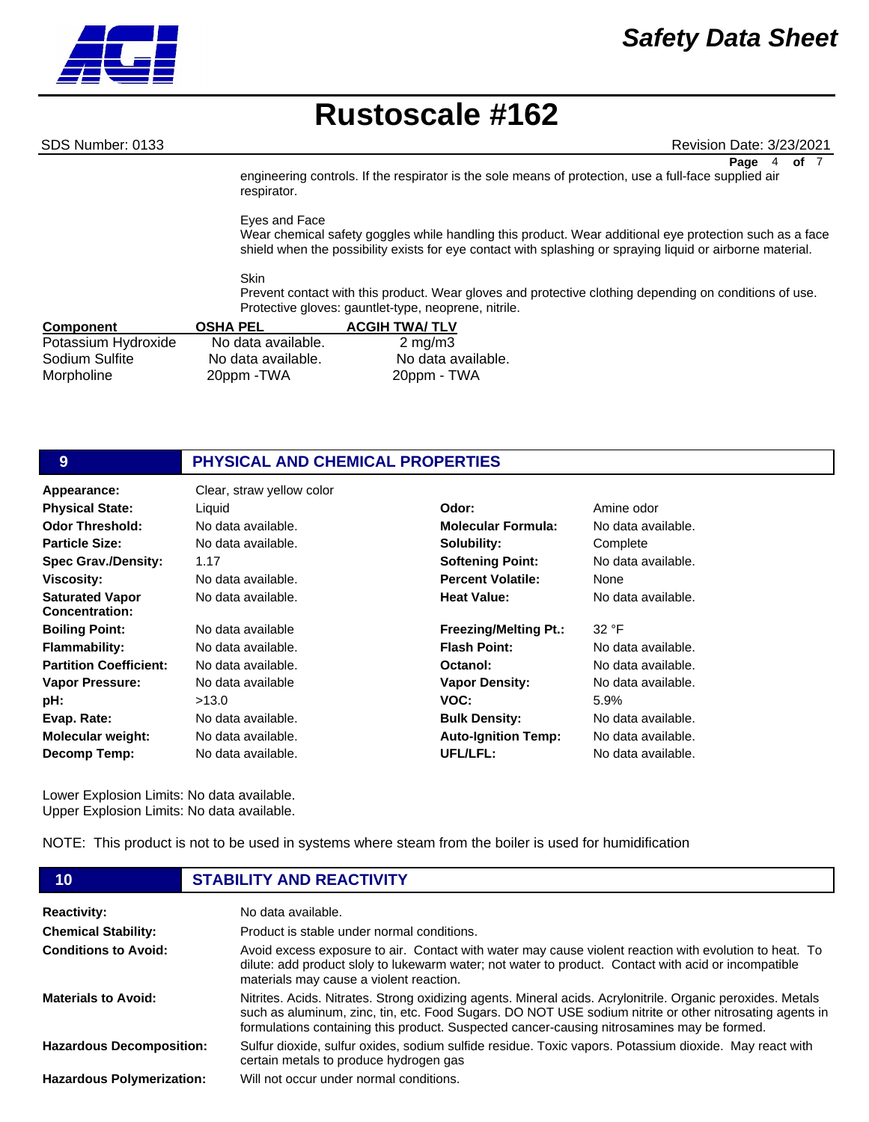

SDS Number: 0133 Revision Date: 3/23/2021

engineering controls. If the respirator is the sole means of protection, use a full-face supplied air respirator. **Page** 4 **of** 7

Eyes and Face

Wear chemical safety goggles while handling this product. Wear additional eye protection such as a face shield when the possibility exists for eye contact with splashing or spraying liquid or airborne material.

Skin

Prevent contact with this product. Wear gloves and protective clothing depending on conditions of use. Protective gloves: gauntlet-type, neoprene, nitrile.

| <b>Component</b>    | <b>OSHA PEL</b>    | <b>ACGIH TWA/TLV</b> |
|---------------------|--------------------|----------------------|
| Potassium Hydroxide | No data available. | $2 \text{ mg/m}$     |
| Sodium Sulfite      | No data available. | No data available.   |
| Morpholine          | 20ppm - TWA        | 20ppm - TWA          |

| 9                             | PHYSICAL AND CHEMICAL PROPERTIES |                              |                    |
|-------------------------------|----------------------------------|------------------------------|--------------------|
| Appearance:                   | Clear, straw yellow color        |                              |                    |
| <b>Physical State:</b>        | Liquid                           | Odor:                        | Amine odor         |
| <b>Odor Threshold:</b>        | No data available.               | <b>Molecular Formula:</b>    | No data available. |
| <b>Particle Size:</b>         | No data available.               | Solubility:                  | Complete           |
| <b>Spec Grav./Density:</b>    | 1.17                             | <b>Softening Point:</b>      | No data available. |
| <b>Viscosity:</b>             | No data available.               | <b>Percent Volatile:</b>     | None               |
| <b>Saturated Vapor</b>        | No data available.               | <b>Heat Value:</b>           | No data available. |
| <b>Concentration:</b>         |                                  |                              |                    |
| <b>Boiling Point:</b>         | No data available                | <b>Freezing/Melting Pt.:</b> | 32 °F              |
| <b>Flammability:</b>          | No data available.               | <b>Flash Point:</b>          | No data available. |
| <b>Partition Coefficient:</b> | No data available.               | Octanol:                     | No data available. |
| <b>Vapor Pressure:</b>        | No data available                | <b>Vapor Density:</b>        | No data available. |
| pH:                           | >13.0                            | VOC:                         | 5.9%               |
| Evap. Rate:                   | No data available.               | <b>Bulk Density:</b>         | No data available. |
| <b>Molecular weight:</b>      | No data available.               | <b>Auto-Ignition Temp:</b>   | No data available. |
| Decomp Temp:                  | No data available.               | UFL/LFL:                     | No data available. |

Lower Explosion Limits: No data available. Upper Explosion Limits: No data available.

NOTE: This product is not to be used in systems where steam from the boiler is used for humidification

| 10                               | <b>STABILITY AND REACTIVITY</b>                                                                                                                                                                                                                                                                                      |
|----------------------------------|----------------------------------------------------------------------------------------------------------------------------------------------------------------------------------------------------------------------------------------------------------------------------------------------------------------------|
| <b>Reactivity:</b>               | No data available.                                                                                                                                                                                                                                                                                                   |
| <b>Chemical Stability:</b>       | Product is stable under normal conditions.                                                                                                                                                                                                                                                                           |
| <b>Conditions to Avoid:</b>      | Avoid excess exposure to air. Contact with water may cause violent reaction with evolution to heat. To<br>dilute: add product sloly to lukewarm water; not water to product. Contact with acid or incompatible<br>materials may cause a violent reaction.                                                            |
| <b>Materials to Avoid:</b>       | Nitrites. Acids. Nitrates. Strong oxidizing agents. Mineral acids. Acrylonitrile. Organic peroxides. Metals<br>such as aluminum, zinc, tin, etc. Food Sugars. DO NOT USE sodium nitrite or other nitrosating agents in<br>formulations containing this product. Suspected cancer-causing nitrosamines may be formed. |
| <b>Hazardous Decomposition:</b>  | Sulfur dioxide, sulfur oxides, sodium sulfide residue. Toxic vapors. Potassium dioxide. May react with<br>certain metals to produce hydrogen gas                                                                                                                                                                     |
| <b>Hazardous Polymerization:</b> | Will not occur under normal conditions.                                                                                                                                                                                                                                                                              |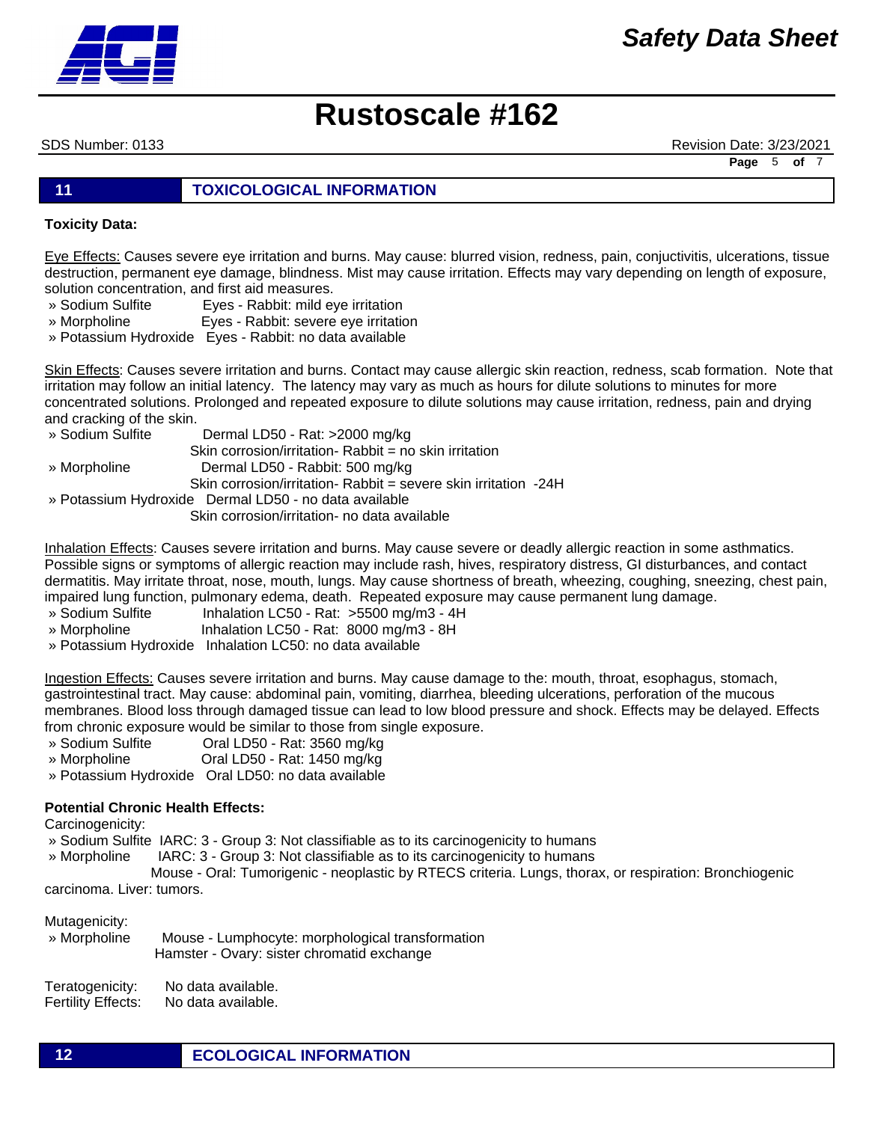

SDS Number: 0133 Revision Date: 3/23/2021 **Page** 5 **of** 7

# **11 TOXICOLOGICAL INFORMATION**

## **Toxicity Data:**

Eye Effects: Causes severe eye irritation and burns. May cause: blurred vision, redness, pain, conjuctivitis, ulcerations, tissue destruction, permanent eye damage, blindness. Mist may cause irritation. Effects may vary depending on length of exposure, solution concentration, and first aid measures.

- » Sodium Sulfite Eyes Rabbit: mild eye irritation
- » Morpholine Eyes Rabbit: severe eye irritation
- » Potassium Hydroxide Eyes Rabbit: no data available

Skin Effects: Causes severe irritation and burns. Contact may cause allergic skin reaction, redness, scab formation. Note that irritation may follow an initial latency. The latency may vary as much as hours for dilute solutions to minutes for more concentrated solutions. Prolonged and repeated exposure to dilute solutions may cause irritation, redness, pain and drying and cracking of the skin.

» Sodium Sulfite Dermal LD50 - Rat: >2000 mg/kg

Skin corrosion/irritation- Rabbit = no skin irritation » Morpholine Dermal LD50 - Rabbit: 500 mg/kg

Skin corrosion/irritation- Rabbit = severe skin irritation -24H

» Potassium Hydroxide Dermal LD50 - no data available

Skin corrosion/irritation- no data available

Inhalation Effects: Causes severe irritation and burns. May cause severe or deadly allergic reaction in some asthmatics. Possible signs or symptoms of allergic reaction may include rash, hives, respiratory distress, GI disturbances, and contact dermatitis. May irritate throat, nose, mouth, lungs. May cause shortness of breath, wheezing, coughing, sneezing, chest pain, impaired lung function, pulmonary edema, death. Repeated exposure may cause permanent lung damage.

» Sodium Sulfite Inhalation LC50 - Rat: >5500 mg/m3 - 4H

» Morpholine Inhalation LC50 - Rat: 8000 mg/m3 - 8H

» Potassium Hydroxide Inhalation LC50: no data available

Ingestion Effects: Causes severe irritation and burns. May cause damage to the: mouth, throat, esophagus, stomach, gastrointestinal tract. May cause: abdominal pain, vomiting, diarrhea, bleeding ulcerations, perforation of the mucous membranes. Blood loss through damaged tissue can lead to low blood pressure and shock. Effects may be delayed. Effects from chronic exposure would be similar to those from single exposure.

- » Sodium Sulfite Oral LD50 Rat: 3560 mg/kg
- » Morpholine Oral LD50 Rat: 1450 mg/kg
- » Potassium Hydroxide Oral LD50: no data available

## **Potential Chronic Health Effects:**

Carcinogenicity:

» Sodium Sulfite IARC: 3 - Group 3: Not classifiable as to its carcinogenicity to humans

» Morpholine IARC: 3 - Group 3: Not classifiable as to its carcinogenicity to humans

 Mouse - Oral: Tumorigenic - neoplastic by RTECS criteria. Lungs, thorax, or respiration: Bronchiogenic carcinoma. Liver: tumors.

#### Mutagenicity:

 » Morpholine Mouse - Lumphocyte: morphological transformation Hamster - Ovary: sister chromatid exchange

Teratogenicity: No data available. Fertility Effects: No data available.

**12 ECOLOGICAL INFORMATION**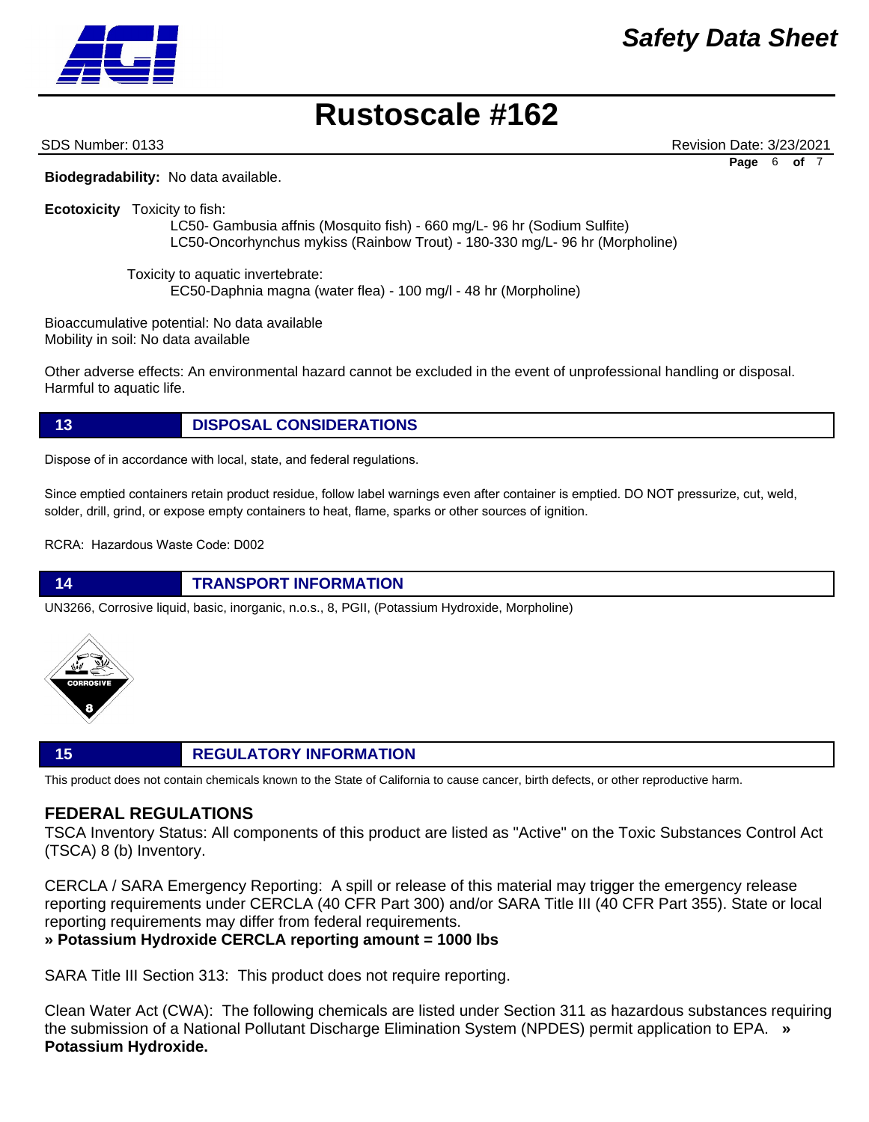SDS Number: 0133 Revision Date: 3/23/2021 **Page** 6 **of** 7

**Biodegradability:** No data available.

**Ecotoxicity** Toxicity to fish:

 LC50- Gambusia affnis (Mosquito fish) - 660 mg/L- 96 hr (Sodium Sulfite) LC50-Oncorhynchus mykiss (Rainbow Trout) - 180-330 mg/L- 96 hr (Morpholine)

 Toxicity to aquatic invertebrate: EC50-Daphnia magna (water flea) - 100 mg/l - 48 hr (Morpholine)

Bioaccumulative potential: No data available Mobility in soil: No data available

Other adverse effects: An environmental hazard cannot be excluded in the event of unprofessional handling or disposal. Harmful to aquatic life.

# **13 DISPOSAL CONSIDERATIONS**

Dispose of in accordance with local, state, and federal regulations.

Since emptied containers retain product residue, follow label warnings even after container is emptied. DO NOT pressurize, cut, weld, solder, drill, grind, or expose empty containers to heat, flame, sparks or other sources of ignition.

RCRA: Hazardous Waste Code: D002

# **14 TRANSPORT INFORMATION**

UN3266, Corrosive liquid, basic, inorganic, n.o.s., 8, PGII, (Potassium Hydroxide, Morpholine)



# **15 REGULATORY INFORMATION**

This product does not contain chemicals known to the State of California to cause cancer, birth defects, or other reproductive harm.

# **FEDERAL REGULATIONS**

TSCA Inventory Status: All components of this product are listed as "Active" on the Toxic Substances Control Act (TSCA) 8 (b) Inventory.

CERCLA / SARA Emergency Reporting: A spill or release of this material may trigger the emergency release reporting requirements under CERCLA (40 CFR Part 300) and/or SARA Title III (40 CFR Part 355). State or local reporting requirements may differ from federal requirements.

**» Potassium Hydroxide CERCLA reporting amount = 1000 lbs**

SARA Title III Section 313: This product does not require reporting.

Clean Water Act (CWA): The following chemicals are listed under Section 311 as hazardous substances requiring the submission of a National Pollutant Discharge Elimination System (NPDES) permit application to EPA. **» Potassium Hydroxide.**